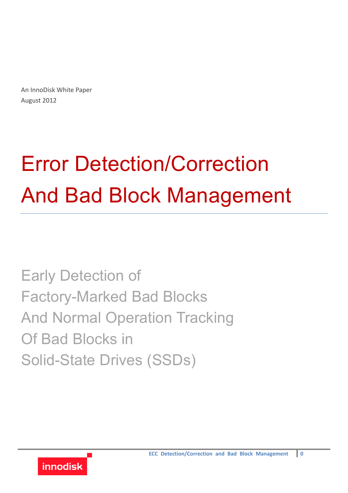An InnoDisk White Paper August 2012

# Error Detection/Correction And Bad Block Management

Early Detection of Factory-Marked Bad Blocks And Normal Operation Tracking Of Bad Blocks in Solid-State Drives (SSDs)

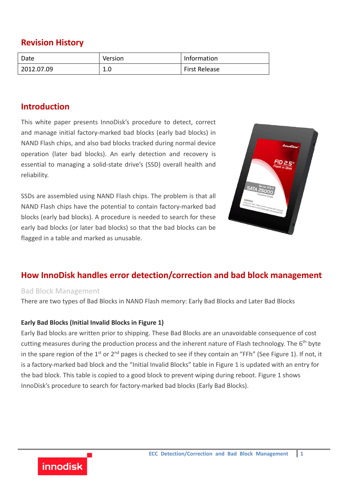## **Revision History**

| Date       | Version | Information          |
|------------|---------|----------------------|
| 2012.07.09 | T.N     | <b>First Release</b> |

### **Introduction**

This white paper presents InnoDisk's procedure to detect, correct and manage initial factory-marked bad blocks (early bad blocks) in NAND Flash chips, and also bad blocks tracked during normal device operation (later bad blocks). An early detection and recovery is essential to managing a solid-state drive's (SSD) overall health and reliability.

SSDs are assembled using NAND Flash chips. The problem is that all NAND Flash chips have the potential to contain factory-marked bad blocks (early bad blocks). A procedure is needed to search for these early bad blocks (or later bad blocks) so that the bad blocks can be flagged in a table and marked as unusable.



## **How InnoDisk handles error detection/correction and bad block management**

#### Bad Block Management

**innodisk** 

There are two types of Bad Blocks in NAND Flash memory: Early Bad Blocks and Later Bad Blocks

#### **Early Bad Blocks (Initial Invalid Blocks in Figure 1)**

Early Bad blocks are written prior to shipping. These Bad Blocks are an unavoidable consequence of cost cutting measures during the production process and the inherent nature of Flash technology. The 6<sup>th</sup> byte in the spare region of the 1<sup>st</sup> or 2<sup>nd</sup> pages is checked to see if they contain an "FFh" (See Figure 1). If not, it is a factory-marked bad block and the "Initial Invalid Blocks" table in Figure 1 is updated with an entry for the bad block. This table is copied to a good block to prevent wiping during reboot. Figure 1 shows InnoDisk's procedure to search for factory-marked bad blocks (Early Bad Blocks).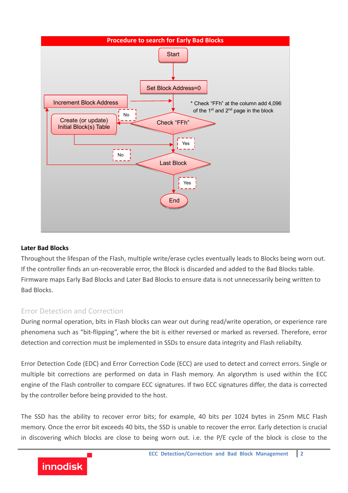

#### **Later Bad Blocks**

Throughout the lifespan of the Flash, multiple write/erase cycles eventually leads to Blocks being worn out. If the controller finds an un-recoverable error, the Block is discarded and added to the Bad Blocks table. Firmware maps Early Bad Blocks and Later Bad Blocks to ensure data is not unnecessarily being written to Bad Blocks.

#### Error Detection and Correction

During normal operation, bits in Flash blocks can wear out during read/write operation, or experience rare phenomena such as "bit-flipping", where the bit is either reversed or marked as reversed. Therefore, error detection and correction must be implemented in SSDs to ensure data integrity and Flash reliabilty.

Error Detection Code (EDC) and Error Correction Code (ECC) are used to detect and correct errors. Single or multiple bit corrections are performed on data in Flash memory. An algorythm is used within the ECC engine of the Flash controller to compare ECC signatures. If two ECC signatures differ, the data is corrected by the controller before being provided to the host.

The SSD has the ability to recover error bits; for example, 40 bits per 1024 bytes in 25nm MLC Flash memory. Once the error bit exceeds 40 bits, the SSD is unable to recover the error. Early detection is crucial in discovering which blocks are close to being worn out*.* i.e. the P/E cycle of the block is close to the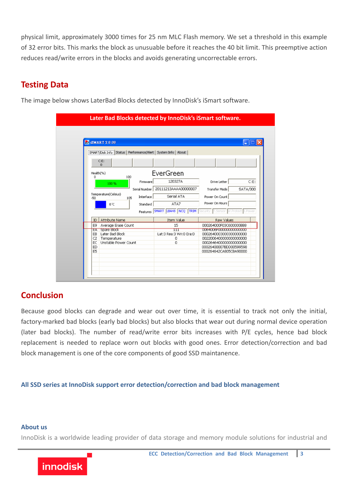physical limit, approximately 3000 times for 25 nm MLC Flash memory. We set a threshold in this example of 32 error bits. This marks the block as unusuable before it reaches the 40 bit limit. This preemptive action reduces read/write errors in the blocks and avoids generating uncorrectable errors.

## **Testing Data**

The image below shows LaterBad Blocks detected by InnoDisk's iSmart software.

|                               | <b>EX ISMART 2.0.08</b>                                       |                                      |                                                  |          |
|-------------------------------|---------------------------------------------------------------|--------------------------------------|--------------------------------------------------|----------|
|                               | SMART/Disk Info   Status  <br>Performance/Alert   System Info | About                                |                                                  |          |
|                               | $C: E$ :                                                      |                                      |                                                  |          |
|                               | $\Omega$                                                      |                                      |                                                  |          |
| Health(%)                     |                                                               | EverGreen                            |                                                  |          |
| 100<br>n<br>Firmware<br>100 % |                                                               | 120327A                              | Drive Letter                                     | C: E:    |
|                               | Serial Number                                                 | 20111213AAAA00000007                 | Transfer Mode                                    | SATA/300 |
|                               | Temperature(Celsius)                                          | Serial ATA                           |                                                  |          |
| -50                           | Interface<br>105                                              |                                      | Power On Count                                   |          |
| Standard<br>0 °C              |                                                               | ATA7                                 | Power On Hours                                   |          |
|                               | Features                                                      | <b>SMART LBA48 NCQ TRIM</b> Security | T.Sensor MV.Protect I.Power                      |          |
| ID                            | Attribute Name                                                | Item Value                           | Raw Values                                       |          |
| E9                            | Average Erase Count                                           | 15                                   | 000264000F03C600000BB8                           |          |
| Spare Block<br>ЕÂ             |                                                               | ╥                                    | 0064006F000000000000000                          |          |
| EB.                           | Later Bad Block                                               | Lat:3 Rea:3 Wri:0 Era:0              | 0002640003000300000000                           |          |
| C <sub>2</sub>                | Temperature                                                   | 0                                    | 00220064000000000000000                          |          |
| EC<br>ED                      | Unstable Power Count                                          | 0                                    | 0002646400000000000000                           |          |
|                               |                                                               |                                      | 00026400007BDD00599598<br>000264642CA805CBA90000 |          |

## **Conclusion**

Because good blocks can degrade and wear out over time, it is essential to track not only the initial, factory-marked bad blocks (early bad blocks) but also blocks that wear out during normal device operation (later bad blocks). The number of read/write error bits increases with P/E cycles, hence bad block replacement is needed to replace worn out blocks with good ones. Error detection/correction and bad block management is one of the core components of good SSD maintanence.

**All SSD series at InnoDisk support error detection/correction and bad block management**

#### **About us**

InnoDisk is a worldwide leading provider of data storage and memory module solutions for industrial and